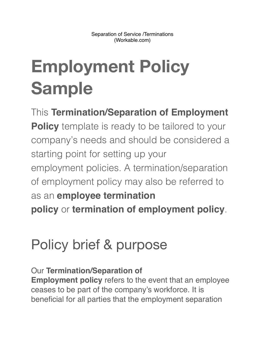# **Employment Policy Sample**

This **Termination/Separation of Employment Policy** template is ready to be tailored to your company's needs and should be considered a starting point for setting up your employment policies. A termination/separation of employment policy may also be referred to as an **employee termination policy** or **termination of employment policy**.

### Policy brief & purpose

Our **Termination/Separation of Employment policy** refers to the event that an employee ceases to be part of the company's workforce. It is beneficial for all parties that the employment separation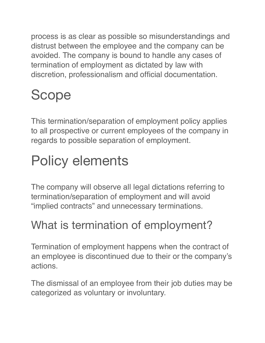process is as clear as possible so misunderstandings and distrust between the employee and the company can be avoided. The company is bound to handle any cases of termination of employment as dictated by law with discretion, professionalism and official documentation.

## Scope

This termination/separation of employment policy applies to all prospective or current employees of the company in regards to possible separation of employment.

## Policy elements

The company will observe all legal dictations referring to termination/separation of employment and will avoid "implied contracts" and unnecessary terminations.

#### What is termination of employment?

Termination of employment happens when the contract of an employee is discontinued due to their or the company's actions.

The dismissal of an employee from their job duties may be categorized as voluntary or involuntary.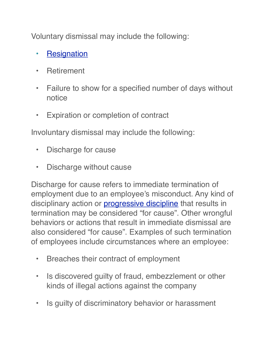Voluntary dismissal may include the following:

- [Resignation](https://resources.workable.com/employee-resignation-policy)
- Retirement
- Failure to show for a specified number of days without notice
- Expiration or completion of contract

Involuntary dismissal may include the following:

- Discharge for cause
- Discharge without cause

Discharge for cause refers to immediate termination of employment due to an employee's misconduct. Any kind of disciplinary action or **[progressive discipline](https://resources.workable.com/progressive-discipline-policy)** that results in termination may be considered "for cause". Other wrongful behaviors or actions that result in immediate dismissal are also considered "for cause". Examples of such termination of employees include circumstances where an employee:

- Breaches their contract of employment
- Is discovered guilty of fraud, embezzlement or other kinds of illegal actions against the company
- Is guilty of discriminatory behavior or harassment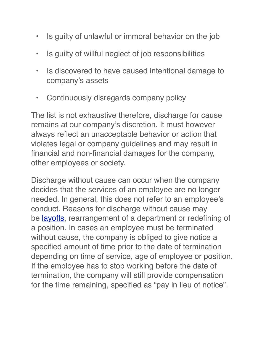- Is guilty of unlawful or immoral behavior on the job
- Is guilty of willful neglect of job responsibilities
- Is discovered to have caused intentional damage to company's assets
- Continuously disregards company policy

The list is not exhaustive therefore, discharge for cause remains at our company's discretion. It must however always reflect an unacceptable behavior or action that violates legal or company guidelines and may result in financial and non-financial damages for the company, other employees or society.

Discharge without cause can occur when the company decides that the services of an employee are no longer needed. In general, this does not refer to an employee's conduct. Reasons for discharge without cause may be [layoffs,](https://resources.workable.com/temporary-layoff-policy) rearrangement of a department or redefining of a position. In cases an employee must be terminated without cause, the company is obliged to give notice a specified amount of time prior to the date of termination depending on time of service, age of employee or position. If the employee has to stop working before the date of termination, the company will still provide compensation for the time remaining, specified as "pay in lieu of notice".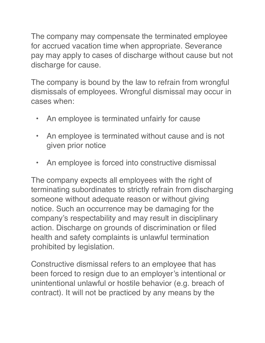The company may compensate the terminated employee for accrued vacation time when appropriate. Severance pay may apply to cases of discharge without cause but not discharge for cause.

The company is bound by the law to refrain from wrongful dismissals of employees. Wrongful dismissal may occur in cases when:

- An employee is terminated unfairly for cause
- An employee is terminated without cause and is not given prior notice
- An employee is forced into constructive dismissal

The company expects all employees with the right of terminating subordinates to strictly refrain from discharging someone without adequate reason or without giving notice. Such an occurrence may be damaging for the company's respectability and may result in disciplinary action. Discharge on grounds of discrimination or filed health and safety complaints is unlawful termination prohibited by legislation.

Constructive dismissal refers to an employee that has been forced to resign due to an employer's intentional or unintentional unlawful or hostile behavior (e.g. breach of contract). It will not be practiced by any means by the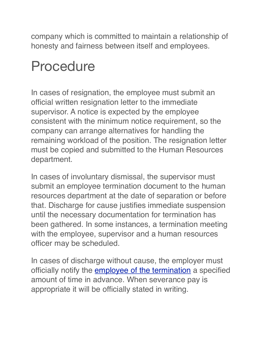company which is committed to maintain a relationship of honesty and fairness between itself and employees.

#### Procedure

In cases of resignation, the employee must submit an official written resignation letter to the immediate supervisor. A notice is expected by the employee consistent with the minimum notice requirement, so the company can arrange alternatives for handling the remaining workload of the position. The resignation letter must be copied and submitted to the Human Resources department.

In cases of involuntary dismissal, the supervisor must submit an employee termination document to the human resources department at the date of separation or before that. Discharge for cause justifies immediate suspension until the necessary documentation for termination has been gathered. In some instances, a termination meeting with the employee, supervisor and a human resources officer may be scheduled.

In cases of discharge without cause, the employer must officially notify the **[employee of the termination](https://resources.workable.com/employee-termination-letter-template)** a specified amount of time in advance. When severance pay is appropriate it will be officially stated in writing.